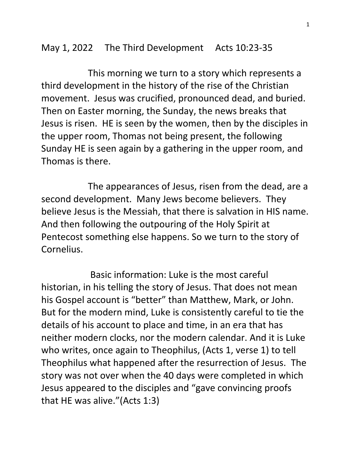## May 1, 2022 The Third Development Acts 10:23-35

 This morning we turn to a story which represents a third development in the history of the rise of the Christian movement. Jesus was crucified, pronounced dead, and buried. Then on Easter morning, the Sunday, the news breaks that Jesus is risen. HE is seen by the women, then by the disciples in the upper room, Thomas not being present, the following Sunday HE is seen again by a gathering in the upper room, and Thomas is there.

 The appearances of Jesus, risen from the dead, are a second development. Many Jews become believers. They believe Jesus is the Messiah, that there is salvation in HIS name. And then following the outpouring of the Holy Spirit at Pentecost something else happens. So we turn to the story of Cornelius.

 Basic information: Luke is the most careful historian, in his telling the story of Jesus. That does not mean his Gospel account is "better" than Matthew, Mark, or John. But for the modern mind, Luke is consistently careful to tie the details of his account to place and time, in an era that has neither modern clocks, nor the modern calendar. And it is Luke who writes, once again to Theophilus, (Acts 1, verse 1) to tell Theophilus what happened after the resurrection of Jesus. The story was not over when the 40 days were completed in which Jesus appeared to the disciples and "gave convincing proofs that HE was alive."(Acts 1:3)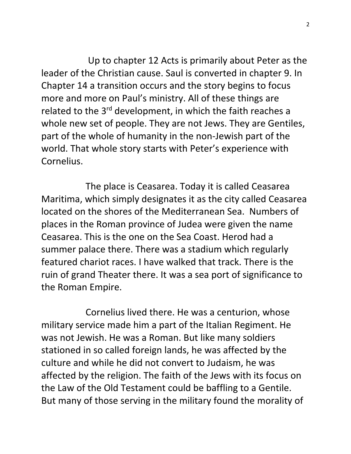Up to chapter 12 Acts is primarily about Peter as the leader of the Christian cause. Saul is converted in chapter 9. In Chapter 14 a transition occurs and the story begins to focus more and more on Paul's ministry. All of these things are related to the 3<sup>rd</sup> development, in which the faith reaches a whole new set of people. They are not Jews. They are Gentiles, part of the whole of humanity in the non-Jewish part of the world. That whole story starts with Peter's experience with Cornelius.

 The place is Ceasarea. Today it is called Ceasarea Maritima, which simply designates it as the city called Ceasarea located on the shores of the Mediterranean Sea. Numbers of places in the Roman province of Judea were given the name Ceasarea. This is the one on the Sea Coast. Herod had a summer palace there. There was a stadium which regularly featured chariot races. I have walked that track. There is the ruin of grand Theater there. It was a sea port of significance to the Roman Empire.

 Cornelius lived there. He was a centurion, whose military service made him a part of the Italian Regiment. He was not Jewish. He was a Roman. But like many soldiers stationed in so called foreign lands, he was affected by the culture and while he did not convert to Judaism, he was affected by the religion. The faith of the Jews with its focus on the Law of the Old Testament could be baffling to a Gentile. But many of those serving in the military found the morality of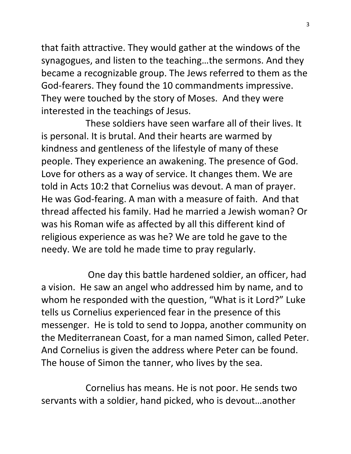that faith attractive. They would gather at the windows of the synagogues, and listen to the teaching…the sermons. And they became a recognizable group. The Jews referred to them as the God-fearers. They found the 10 commandments impressive. They were touched by the story of Moses. And they were interested in the teachings of Jesus.

 These soldiers have seen warfare all of their lives. It is personal. It is brutal. And their hearts are warmed by kindness and gentleness of the lifestyle of many of these people. They experience an awakening. The presence of God. Love for others as a way of service. It changes them. We are told in Acts 10:2 that Cornelius was devout. A man of prayer. He was God-fearing. A man with a measure of faith. And that thread affected his family. Had he married a Jewish woman? Or was his Roman wife as affected by all this different kind of religious experience as was he? We are told he gave to the needy. We are told he made time to pray regularly.

 One day this battle hardened soldier, an officer, had a vision. He saw an angel who addressed him by name, and to whom he responded with the question, "What is it Lord?" Luke tells us Cornelius experienced fear in the presence of this messenger. He is told to send to Joppa, another community on the Mediterranean Coast, for a man named Simon, called Peter. And Cornelius is given the address where Peter can be found. The house of Simon the tanner, who lives by the sea.

 Cornelius has means. He is not poor. He sends two servants with a soldier, hand picked, who is devout…another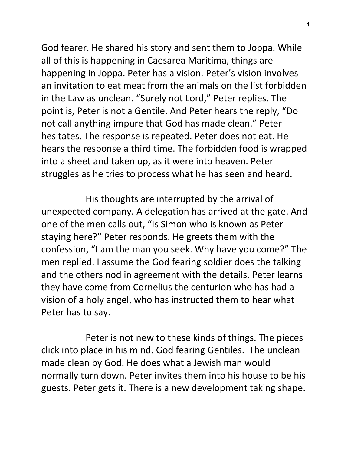God fearer. He shared his story and sent them to Joppa. While all of this is happening in Caesarea Maritima, things are happening in Joppa. Peter has a vision. Peter's vision involves an invitation to eat meat from the animals on the list forbidden in the Law as unclean. "Surely not Lord," Peter replies. The point is, Peter is not a Gentile. And Peter hears the reply, "Do not call anything impure that God has made clean." Peter hesitates. The response is repeated. Peter does not eat. He hears the response a third time. The forbidden food is wrapped into a sheet and taken up, as it were into heaven. Peter struggles as he tries to process what he has seen and heard.

 His thoughts are interrupted by the arrival of unexpected company. A delegation has arrived at the gate. And one of the men calls out, "Is Simon who is known as Peter staying here?" Peter responds. He greets them with the confession, "I am the man you seek. Why have you come?" The men replied. I assume the God fearing soldier does the talking and the others nod in agreement with the details. Peter learns they have come from Cornelius the centurion who has had a vision of a holy angel, who has instructed them to hear what Peter has to say.

 Peter is not new to these kinds of things. The pieces click into place in his mind. God fearing Gentiles. The unclean made clean by God. He does what a Jewish man would normally turn down. Peter invites them into his house to be his guests. Peter gets it. There is a new development taking shape.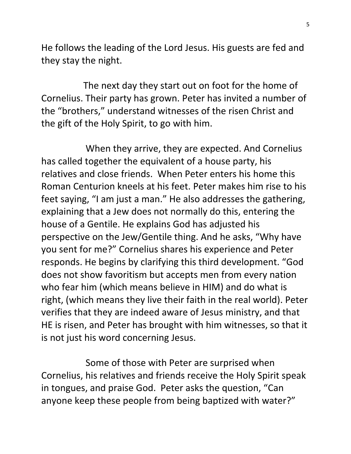He follows the leading of the Lord Jesus. His guests are fed and they stay the night.

 The next day they start out on foot for the home of Cornelius. Their party has grown. Peter has invited a number of the "brothers," understand witnesses of the risen Christ and the gift of the Holy Spirit, to go with him.

 When they arrive, they are expected. And Cornelius has called together the equivalent of a house party, his relatives and close friends. When Peter enters his home this Roman Centurion kneels at his feet. Peter makes him rise to his feet saying, "I am just a man." He also addresses the gathering, explaining that a Jew does not normally do this, entering the house of a Gentile. He explains God has adjusted his perspective on the Jew/Gentile thing. And he asks, "Why have you sent for me?" Cornelius shares his experience and Peter responds. He begins by clarifying this third development. "God does not show favoritism but accepts men from every nation who fear him (which means believe in HIM) and do what is right, (which means they live their faith in the real world). Peter verifies that they are indeed aware of Jesus ministry, and that HE is risen, and Peter has brought with him witnesses, so that it is not just his word concerning Jesus.

 Some of those with Peter are surprised when Cornelius, his relatives and friends receive the Holy Spirit speak in tongues, and praise God. Peter asks the question, "Can anyone keep these people from being baptized with water?"